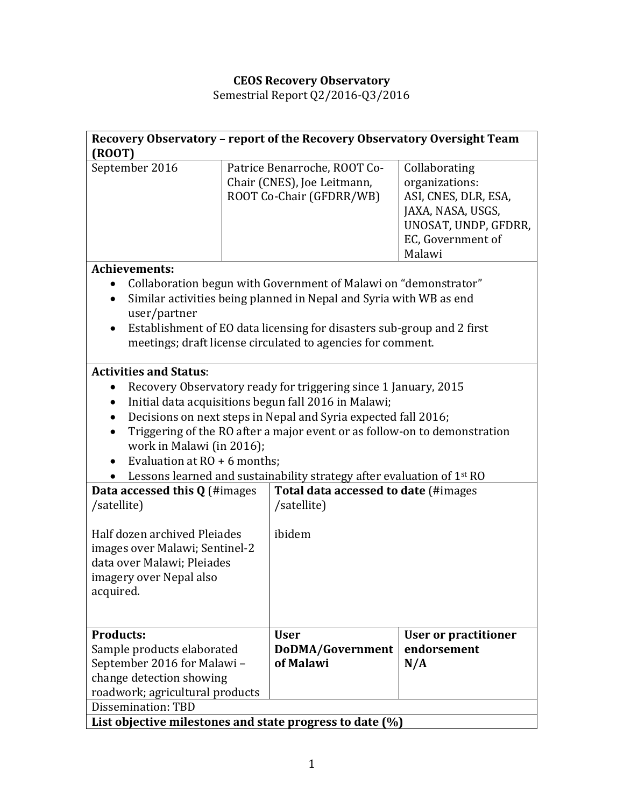## **CEOS Recovery Observatory**

Semestrial Report Q2/2016-Q3/2016

| Recovery Observatory - report of the Recovery Observatory Oversight Team<br>$($ <sub>ROOT</sub> $)$                                                                                                                                                                                                                                                                                                                                                                                                                                                                                                                                                                                                         |  |                                                                                         |                                                                                                                                     |
|-------------------------------------------------------------------------------------------------------------------------------------------------------------------------------------------------------------------------------------------------------------------------------------------------------------------------------------------------------------------------------------------------------------------------------------------------------------------------------------------------------------------------------------------------------------------------------------------------------------------------------------------------------------------------------------------------------------|--|-----------------------------------------------------------------------------------------|-------------------------------------------------------------------------------------------------------------------------------------|
| September 2016                                                                                                                                                                                                                                                                                                                                                                                                                                                                                                                                                                                                                                                                                              |  | Patrice Benarroche, ROOT Co-<br>Chair (CNES), Joe Leitmann,<br>ROOT Co-Chair (GFDRR/WB) | Collaborating<br>organizations:<br>ASI, CNES, DLR, ESA,<br>JAXA, NASA, USGS,<br>UNOSAT, UNDP, GFDRR,<br>EC, Government of<br>Malawi |
| <b>Achievements:</b><br>Collaboration begun with Government of Malawi on "demonstrator"<br>Similar activities being planned in Nepal and Syria with WB as end<br>user/partner<br>Establishment of EO data licensing for disasters sub-group and 2 first<br>meetings; draft license circulated to agencies for comment.                                                                                                                                                                                                                                                                                                                                                                                      |  |                                                                                         |                                                                                                                                     |
| <b>Activities and Status:</b><br>Recovery Observatory ready for triggering since 1 January, 2015<br>Initial data acquisitions begun fall 2016 in Malawi;<br>Decisions on next steps in Nepal and Syria expected fall 2016;<br>Triggering of the RO after a major event or as follow-on to demonstration<br>work in Malawi (in 2016);<br>Evaluation at $RO + 6$ months;<br>Lessons learned and sustainability strategy after evaluation of 1st RO<br>Total data accessed to date (#images<br>Data accessed this $Q$ (#images<br>/satellite)<br>/satellite)<br>Half dozen archived Pleiades<br>ibidem<br>images over Malawi; Sentinel-2<br>data over Malawi; Pleiades<br>imagery over Nepal also<br>acquired. |  |                                                                                         |                                                                                                                                     |
| <b>Products:</b><br>Sample products elaborated<br>September 2016 for Malawi -<br>change detection showing<br>roadwork; agricultural products<br>Dissemination: TBD                                                                                                                                                                                                                                                                                                                                                                                                                                                                                                                                          |  | <b>User</b><br>DoDMA/Government<br>of Malawi                                            | <b>User or practitioner</b><br>endorsement<br>N/A                                                                                   |
| List objective milestones and state progress to date (%)                                                                                                                                                                                                                                                                                                                                                                                                                                                                                                                                                                                                                                                    |  |                                                                                         |                                                                                                                                     |